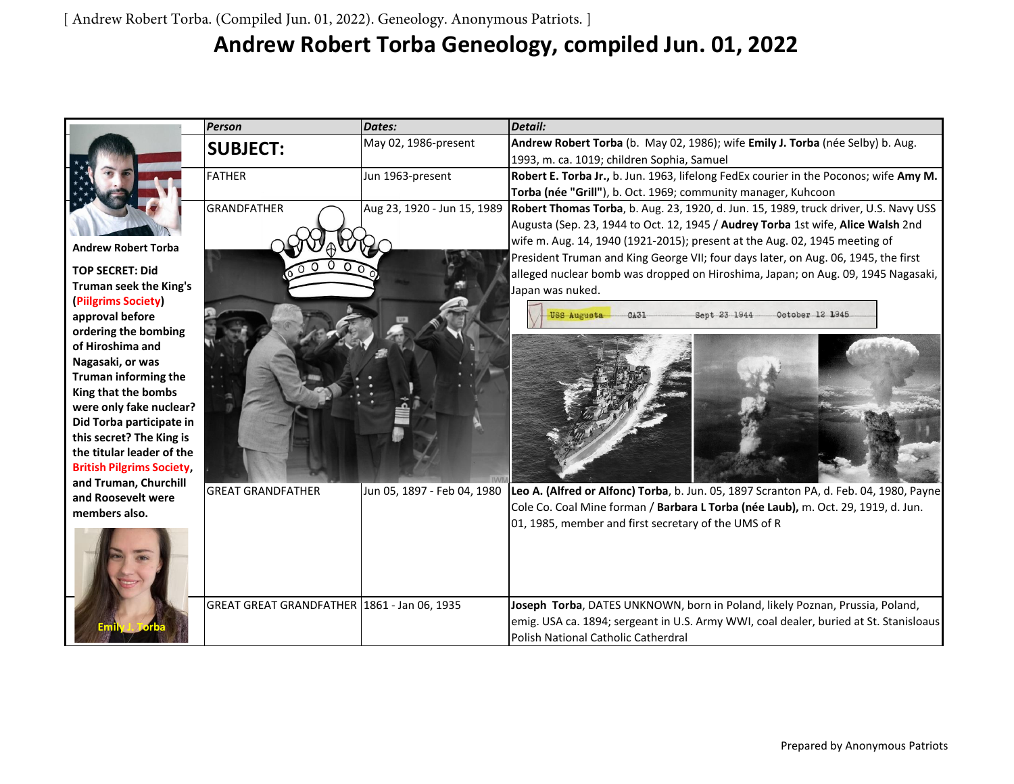## **Andrew Robert Torba Geneology, compiled Jun. 01, 2022**

|                                             | <b>Person</b>                                 | Dates:                      | <b>Detail:</b>                                                                         |
|---------------------------------------------|-----------------------------------------------|-----------------------------|----------------------------------------------------------------------------------------|
|                                             | <b>SUBJECT:</b>                               | May 02, 1986-present        | Andrew Robert Torba (b. May 02, 1986); wife Emily J. Torba (née Selby) b. Aug.         |
|                                             |                                               |                             | 1993, m. ca. 1019; children Sophia, Samuel                                             |
|                                             | <b>FATHER</b>                                 | Jun 1963-present            | Robert E. Torba Jr., b. Jun. 1963, lifelong FedEx courier in the Poconos; wife Amy M.  |
|                                             |                                               |                             | Torba (née "Grill"), b. Oct. 1969; community manager, Kuhcoon                          |
|                                             | <b>GRANDFATHER</b>                            | Aug 23, 1920 - Jun 15, 1989 | Robert Thomas Torba, b. Aug. 23, 1920, d. Jun. 15, 1989, truck driver, U.S. Navy USS   |
|                                             |                                               |                             | Augusta (Sep. 23, 1944 to Oct. 12, 1945 / Audrey Torba 1st wife, Alice Walsh 2nd       |
| <b>Andrew Robert Torba</b>                  |                                               |                             | wife m. Aug. 14, 1940 (1921-2015); present at the Aug. 02, 1945 meeting of             |
|                                             |                                               |                             | President Truman and King George VII; four days later, on Aug. 06, 1945, the first     |
| <b>TOP SECRET: Did</b>                      |                                               |                             | alleged nuclear bomb was dropped on Hiroshima, Japan; on Aug. 09, 1945 Nagasaki,       |
| Truman seek the King's                      |                                               |                             | Japan was nuked.                                                                       |
| (Piilgrims Society)<br>approval before      |                                               |                             | USS Augusta<br>Sept 23 1944<br>October 12 1945<br>CA31                                 |
| ordering the bombing                        |                                               |                             |                                                                                        |
| of Hiroshima and                            |                                               |                             |                                                                                        |
| Nagasaki, or was                            |                                               |                             |                                                                                        |
| <b>Truman informing the</b>                 |                                               |                             |                                                                                        |
| King that the bombs                         |                                               |                             |                                                                                        |
| were only fake nuclear?                     |                                               |                             |                                                                                        |
| Did Torba participate in                    |                                               |                             |                                                                                        |
| this secret? The King is                    |                                               |                             |                                                                                        |
| the titular leader of the                   |                                               |                             |                                                                                        |
| <b>British Pilgrims Society,</b>            |                                               |                             |                                                                                        |
| and Truman, Churchill<br>and Roosevelt were | <b>GREAT GRANDFATHER</b>                      | Jun 05, 1897 - Feb 04, 1980 | Leo A. (Alfred or Alfonc) Torba, b. Jun. 05, 1897 Scranton PA, d. Feb. 04, 1980, Payne |
| members also.                               |                                               |                             | Cole Co. Coal Mine forman / Barbara L Torba (née Laub), m. Oct. 29, 1919, d. Jun.      |
|                                             |                                               |                             | 01, 1985, member and first secretary of the UMS of R                                   |
|                                             |                                               |                             |                                                                                        |
|                                             |                                               |                             |                                                                                        |
|                                             |                                               |                             |                                                                                        |
|                                             |                                               |                             |                                                                                        |
|                                             | GREAT GREAT GRANDFATHER   1861 - Jan 06, 1935 |                             | Joseph Torba, DATES UNKNOWN, born in Poland, likely Poznan, Prussia, Poland,           |
|                                             |                                               |                             | emig. USA ca. 1894; sergeant in U.S. Army WWI, coal dealer, buried at St. Stanisloaus  |
|                                             |                                               |                             | Polish National Catholic Catherdral                                                    |